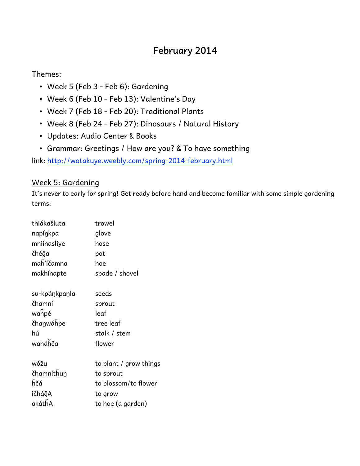# **February 2014**

# Themes:

- Week 5 (Feb 3 Feb 6): Gardening
- Week 6 (Feb 10 Feb 13): Valentine's Day
- Week 7 (Feb 18 Feb 20): Traditional Plants
- Week 8 (Feb 24 Feb 27): Dinosaurs / Natural History
- Updates: Audio Center & Books
- Grammar: Greetings / How are you? & To have something

link: <http://wotakuye.weebly.com/spring-2014-february.html>

# Week 5: Gardening

It's never to early for spring! Get ready before hand and become familiar with some simple gardening terms:

| thiákašluta   | trowel                 |
|---------------|------------------------|
| napíŋkpa      | glove                  |
| mniínasliye   | hose                   |
| čhéğa         | pot                    |
| maȟ'íčamna    | hoe                    |
| makhínapte    | spade / shovel         |
| su-kpáŋkpaŋla | seeds                  |
| čhamní        | sprout                 |
| wahpé         | leaf                   |
| čhanwáhpe     | tree leaf              |
| hú            | stalk / stem           |
| wanáȟča       | flower                 |
| wóžu          | to plant / grow things |
| čhamníthun    | to sprout              |
| ňčá           | to blossom/to flower   |
| ičháğA        | to grow                |
| akáthA        | to hoe (a garden)      |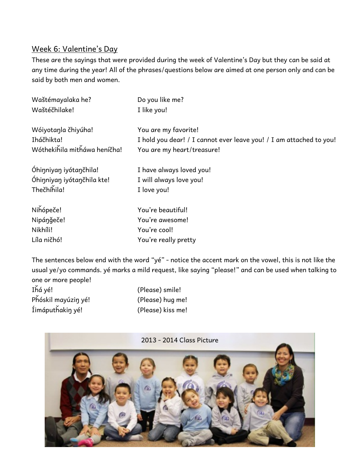# Week 6: Valentine's Day

These are the sayings that were provided during the week of Valentine's Day but they can be said at any time during the year! All of the phrases/questions below are aimed at one person only and can be said by both men and women.

| Waštémayalaka he?            | Do you like me?                                                     |
|------------------------------|---------------------------------------------------------------------|
| Waštéčhilake!                | I like you!                                                         |
| Wóiyotanla čhiyúha!          | You are my favorite!                                                |
| Iháčhikta!                   | I hold you dear! / I cannot ever leave you! / I am attached to you! |
| Wóthekihila mitháwa heníčha! | You are my heart/treasure!                                          |
| Óhinniyan iyótančhila!       | I have always loved you!                                            |
| Óhinniyan iyótančhila kte!   | I will always love you!                                             |
| Thečhíhila!                  | I love you!                                                         |
| Nihópeče!                    | You're beautiful!                                                   |
| Nipángeče!                   | You're awesome!                                                     |
| Nikhíli!                     | You're cool!                                                        |
| Líla ničhó!                  | You're really pretty                                                |

The sentences below end with the word "yé" - notice the accent mark on the vowel, this is not like the usual ye/yo commands. yé marks a mild request, like saying "please!" and can be used when talking to one or more people!

| (Please) smile!   |
|-------------------|
| (Please) hug me!  |
| (Please) kiss me! |
|                   |

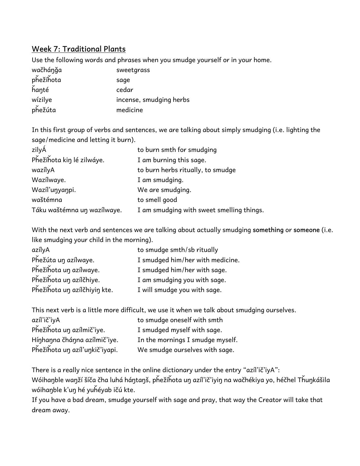# **Week 7: Traditional Plants**

Use the following words and phrases when you smudge yourself or in your home.

| wačhánǧa  | sweetgrass              |
|-----------|-------------------------|
| phežíhota | sage                    |
| hanté     | cedar                   |
| wízilye   | incense, smudging herbs |
| phežúta   | medicine                |

In this first group of verbs and sentences, we are talking about simply smudging (i.e. lighting the sage/medicine and letting it burn).

| zilyÁ                       | to burn smth for smudging                 |
|-----------------------------|-------------------------------------------|
| Phežíhota kin lé zilwáye.   | I am burning this sage.                   |
| wazílyA                     | to burn herbs ritually, to smudge         |
| Wazílwaye.                  | I am smudging.                            |
| Wazíľunyanpi.               | We are smudging.                          |
| waštémna                    | to smell good                             |
| Táku waštémna un wazílwaye. | I am smudging with sweet smelling things. |

With the next verb and sentences we are talking about actually smudging **something** or **someone** (i.e. like smudging your child in the morning).

| to smudge smth/sb ritually       |
|----------------------------------|
| I smudged him/her with medicine. |
| I smudged him/her with sage.     |
| I am smudging you with sage.     |
| I will smudge you with sage.     |
|                                  |

This next verb is a little more difficult, we use it when we talk about smudging ourselves.

| azíľ ič'iyA                    | to smudge oneself with smth      |
|--------------------------------|----------------------------------|
| Phežíhota un azílmič'iye.      | I smudged myself with sage.      |
| Hínhanna čhánna azílmič'iye.   | In the mornings I smudge myself. |
| Phežíhota un azíl'unkič'iyapi. | We smudge ourselves with sage.   |

There is a really nice sentence in the online dictionary under the entry "azíl'ič'iyA": Wóihaŋble waŋží šíča čha luhá háŋtaŋš, pȟežíȟota uŋ azíl'ič'iyiŋ na wačhékiya yo, héčhel Tȟuŋkášila wóihaŋble k'uŋ hé yuȟéyab ičú kte.

If you have a bad dream, smudge yourself with sage and pray, that way the Creator will take that dream away.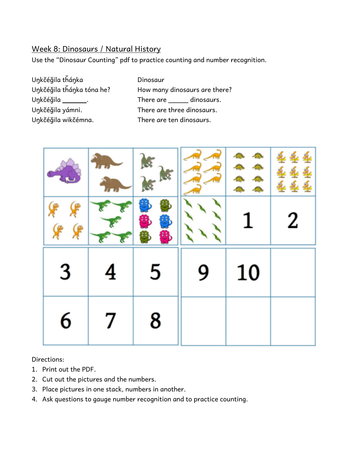# Week 8: Dinosaurs / Natural History

Use the "Dinosaur Counting" pdf to practice counting and number recognition.

- Uŋkčéǧila tȟáŋka Dinosaur Uŋkčéǧila wikčémna. There are ten dinosaurs.
- Uŋkčéǧila tȟáŋka tóna he? How many dinosaurs are there? Uŋkčéǧila \_\_\_\_\_\_\_\_.<br>There are \_\_\_\_\_\_ dinosaurs. Unkčéğila yámni. There are three dinosaurs.



Directions:

- 1. Print out the PDF.
- 2. Cut out the pictures and the numbers.
- 3. Place pictures in one stack, numbers in another.
- 4. Ask questions to gauge number recognition and to practice counting.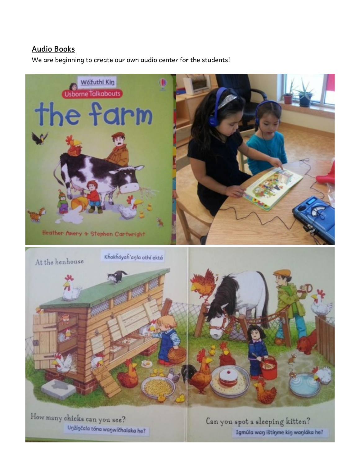#### **Audio Books**

We are beginning to create our own audio center for the students!



How many chicks can you see? Unžínčala tóna wanwíčhalaka he?

Can you spot a sleeping kitten? Igmúla wan ištínme kin wanláka he?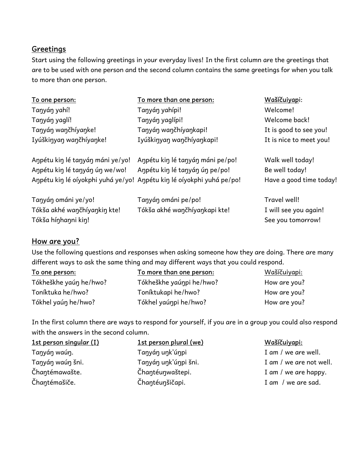# **Greetings**

Start using the following greetings in your everyday lives! In the first column are the greetings that are to be used with one person and the second column contains the same greetings for when you talk to more than one person.

| To one person:                   | To more than one person:                                              | Wašíčuiyapi:            |
|----------------------------------|-----------------------------------------------------------------------|-------------------------|
| Tanyán yahí!                     | Tanyán yahípi!                                                        | Welcome!                |
| Tanyán yaglí!                    | Tanyán yaglípi!                                                       | Welcome back!           |
| Tanyán wančhíyanke!              | Tanyán wančhíyankapi!                                                 | It is good to see you!  |
| Iyúškinyan wančhíyanke!          | Iyúškinyan wančhíyankapi!                                             | It is nice to meet you! |
| Anpétu kin lé tanyán máni ye/yo! | Anpétu kin lé tanyán máni pe/po!                                      | Walk well today!        |
| Anpétu kin lé tanyán ún we/wo!   | Anpétu kin lé tanyán ún pe/po!                                        | Be well today!          |
|                                  | Anpétu kin lé oíyokphi yuhá ye/yo! Anpétu kin lé oíyokphi yuhá pe/po! | Have a good time today! |
| Tanyán ománi ye/yo!              | Tanyán ománi pe/po!                                                   | Travel well!            |
| Tókša akhé waŋčhíyaŋkiŋ kte!     | Tókša akhé wančhíyankapi kte!                                         | I will see you again!   |
| Tókša hínhanni kin!              |                                                                       | See you tomorrow!       |

# **How are you?**

Use the following questions and responses when asking someone how they are doing. There are many different ways to ask the same thing and may different ways that you could respond.

| To one person:         | To more than one person: | Wašíčuiyapi: |
|------------------------|--------------------------|--------------|
| Tókheškhe yaún he/hwo? | Tókheškhe yaúnpi he/hwo? | How are you? |
| Toníktuka he/hwo?      | Toníktukapi he/hwo?      | How are you? |
| Tókhel yaún he/hwo?    | Tókhel yaúnpi he/hwo?    | How are you? |

In the first column there are ways to respond for yourself, if you are in a group you could also respond with the answers in the second column.

| 1st person singular (I) | 1st person plural (we) | <u> Wašíčuiyapi:</u>    |
|-------------------------|------------------------|-------------------------|
| Tanyán waún.            | Tanyán unk'únpi        | I am / we are well.     |
| Tanyán waún šni.        | Tanyán unk'únpi šni.   | I am / we are not well. |
| Čhantémawašte.          | Čhantéunwaštepi.       | I am / we are happy.    |
| Čhantémašiče.           | Čhantéunšičapi.        | I am / we are sad.      |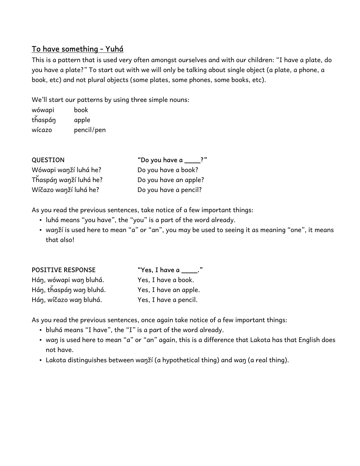# **To have something - Yuhá**

This is a pattern that is used very often amongst ourselves and with our children: "I have a plate, do you have a plate?" To start out with we will only be talking about single object (a plate, a phone, a book, etc) and not plural objects (some plates, some phones, some books, etc).

We'll start our patterns by using three simple nouns:

| wówapi  | book       |
|---------|------------|
| thaspán | apple      |
| wícazo  | pencil/pen |

| <b>QUESTION</b>        | "Do you have a ____?" |
|------------------------|-----------------------|
| Wówapi wanží luhá he?  | Do you have a book?   |
| Thaspán wanží luhá he? | Do you have an apple? |
| Wíčazo wanží luhá he?  | Do you have a pencil? |

As you read the previous sentences, take notice of a few important things:

- luhá means "you have", the "you" is a part of the word already.
- waŋží is used here to mean "a" or "an", you may be used to seeing it as meaning "one", it means that also!

| <b>POSITIVE RESPONSE</b> | "Yes, I have a $\_\_\_\$ ." |
|--------------------------|-----------------------------|
| Hán, wówapi wan bluhá.   | Yes, I have a book.         |
| Hán, thaspán wan bluhá.  | Yes, I have an apple.       |
| Hán, wíčazo wan bluhá.   | Yes, I have a pencil.       |

As you read the previous sentences, once again take notice of a few important things:

- bluhá means "I have", the "I" is a part of the word already.
- waŋ is used here to mean "a" or "an" again, this is a difference that Lakota has that English does not have.
- Lakota distinguishes between waŋží (a hypothetical thing) and waŋ (a real thing).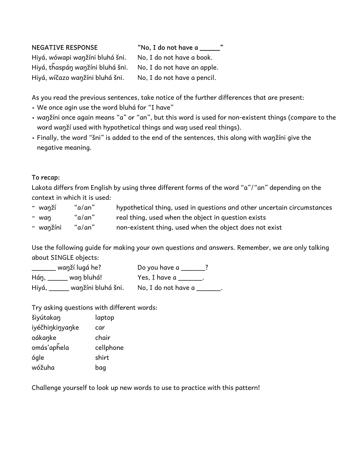| <b>NEGATIVE RESPONSE</b>         | "No, I do not have a        |
|----------------------------------|-----------------------------|
| Hiyá, wówapi wanžíni bluhá šni.  | No, I do not have a book.   |
| Hiyá, thaspán wanžíni bluhá šni. | No, I do not have an apple. |
| Hiyá, wíčazo wanžíni bluhá šni.  | No, I do not have a pencil. |

As you read the previous sentences, take notice of the further differences that are present:

- We once agin use the word bluhá for "I have"
- waŋžíni once again means "a" or "an", but this word is used for non-existent things (compare to the word waŋží used with hypothetical things and waŋ used real things).
- Finally, the word "šni" is added to the end of the sentences, this along with waŋžíni give the negative meaning.

#### **To recap:**

Lakota differs from English by using three different forms of the word "a"/"an" depending on the context in which it is used:

| - waŋží   | "a/an" | hypothetical thing, used in questions and other uncertain circumstances |
|-----------|--------|-------------------------------------------------------------------------|
| - wan     | "a/an" | real thing, used when the object in question exists                     |
| - wanžíni | "a/an" | non-existent thing, used when the object does not exist                 |

Use the following guide for making your own questions and answers. Remember, we are only talking about SINGLE objects:

| wanží lugá he?                   | Do you have a                      |
|----------------------------------|------------------------------------|
| Hán, wan bluhá!                  | Yes, I have a $\rule{1em}{0.15mm}$ |
| ____ waŋžíni bluhá šni.<br>Hiyá, | No, I do not have a                |

Try asking questions with different words:

| šiyútakan       | laptop    |
|-----------------|-----------|
| iyéčhinkinyanke | car       |
| oákanke         | chair     |
| omás'aphela     | cellphone |
| ógle            | shirt     |
| wóžuha          | bag       |

Challenge yourself to look up new words to use to practice with this pattern!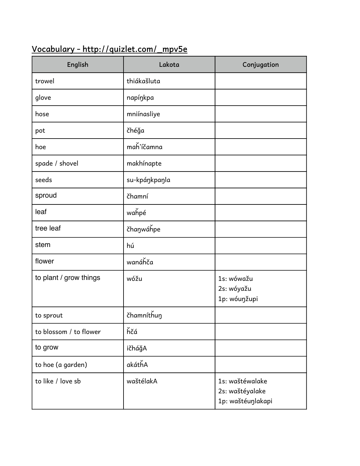# **Vocabulary - http://quizlet.com/\_mpv5e**

| English                | Lakota        | Conjugation                                             |
|------------------------|---------------|---------------------------------------------------------|
| trowel                 | thiákašluta   |                                                         |
| glove                  | napínkpa      |                                                         |
| hose                   | mniínasliye   |                                                         |
| pot                    | čhéğa         |                                                         |
| hoe                    | maȟ'íčamna    |                                                         |
| spade / shovel         | makhínapte    |                                                         |
| seeds                  | su-kpáŋkpaŋla |                                                         |
| sproud                 | čhamní        |                                                         |
| leaf                   | wahpé         |                                                         |
| tree leaf              | čhanwáhpe     |                                                         |
| stem                   | hú            |                                                         |
| flower                 | wanáȟča       |                                                         |
| to plant / grow things | wóžu          | 1s: wówažu<br>2s: wóyažu<br>1p: wóuŋžupi                |
| to sprout              | čhamníthun    |                                                         |
| to blossom / to flower | hčá           |                                                         |
| to grow                | ičháǧA        |                                                         |
| to hoe (a garden)      | akáthA        |                                                         |
| to like / love sb      | waštélakA     | 1s: waštéwalake<br>2s: waštéyalake<br>1p: waštéuŋlakapi |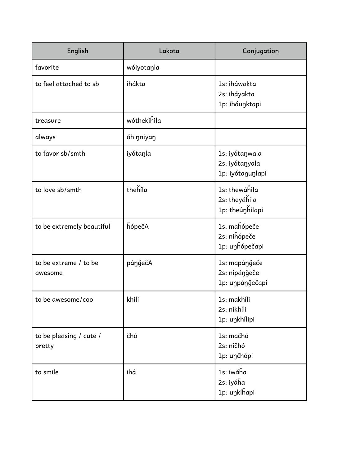| English                           | Lakota      | Conjugation                                          |
|-----------------------------------|-------------|------------------------------------------------------|
| favorite                          | wóiyotaŋla  |                                                      |
| to feel attached to sb            | ihákta      | 1s: iháwakta<br>2s: iháyakta<br>1p: iháuŋktapi       |
| treasure                          | wóthekihila |                                                      |
| always                            | óhiŋniyaŋ   |                                                      |
| to favor sb/smth                  | iyótaŋla    | 1s: iyótaŋwala<br>2s: iyótaŋyala<br>1p: iyótaŋuŋlapi |
| to love sb/smth                   | thehíla     | 1s: thewáhila<br>2s: theyáhila<br>1p: theúnhilapi    |
| to be extremely beautiful         | hópečA      | 1s. mahópeče<br>2s: nihópeče<br>1p: uŋȟópečapi       |
| to be extreme / to be<br>awesome  | páŋǧečA     | 1s: mapáŋǧeče<br>2s: nipáŋǧeče<br>1p: uŋpáŋǧečapi    |
| to be awesome/cool                | khilí       | 1s: makhíli<br>2s: nikhíli<br>1p: uŋkhílipi          |
| to be pleasing / cute /<br>pretty | čhó         | 1s: mačhó<br>2s: ničhó<br>1p: unčhópi                |
| to smile                          | ihá         | 1s: iwáha<br>2s: iyáha<br>1p: uŋkíȟapi               |